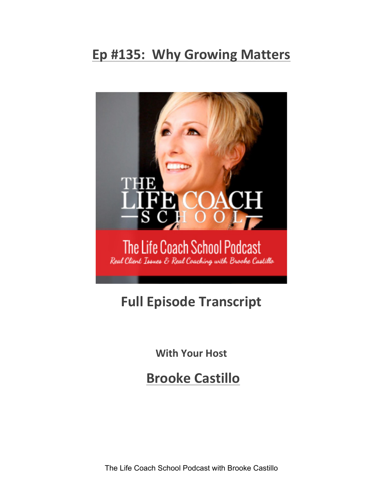## **Ep #135: Why Growing Matters**



## **Full Episode Transcript**

**With Your Host** 

**Brooke Castillo**

The Life Coach School Podcast with Brooke Castillo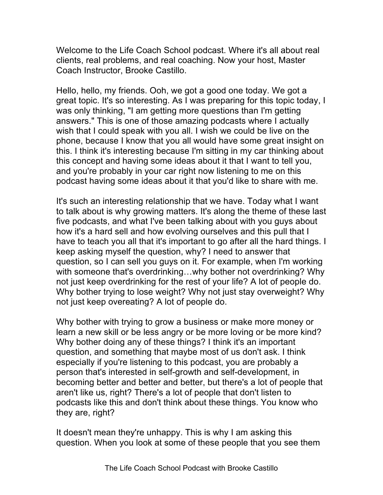Welcome to the Life Coach School podcast. Where it's all about real clients, real problems, and real coaching. Now your host, Master Coach Instructor, Brooke Castillo.

Hello, hello, my friends. Ooh, we got a good one today. We got a great topic. It's so interesting. As I was preparing for this topic today, I was only thinking, "I am getting more questions than I'm getting answers." This is one of those amazing podcasts where I actually wish that I could speak with you all. I wish we could be live on the phone, because I know that you all would have some great insight on this. I think it's interesting because I'm sitting in my car thinking about this concept and having some ideas about it that I want to tell you, and you're probably in your car right now listening to me on this podcast having some ideas about it that you'd like to share with me.

It's such an interesting relationship that we have. Today what I want to talk about is why growing matters. It's along the theme of these last five podcasts, and what I've been talking about with you guys about how it's a hard sell and how evolving ourselves and this pull that I have to teach you all that it's important to go after all the hard things. I keep asking myself the question, why? I need to answer that question, so I can sell you guys on it. For example, when I'm working with someone that's overdrinking…why bother not overdrinking? Why not just keep overdrinking for the rest of your life? A lot of people do. Why bother trying to lose weight? Why not just stay overweight? Why not just keep overeating? A lot of people do.

Why bother with trying to grow a business or make more money or learn a new skill or be less angry or be more loving or be more kind? Why bother doing any of these things? I think it's an important question, and something that maybe most of us don't ask. I think especially if you're listening to this podcast, you are probably a person that's interested in self-growth and self-development, in becoming better and better and better, but there's a lot of people that aren't like us, right? There's a lot of people that don't listen to podcasts like this and don't think about these things. You know who they are, right?

It doesn't mean they're unhappy. This is why I am asking this question. When you look at some of these people that you see them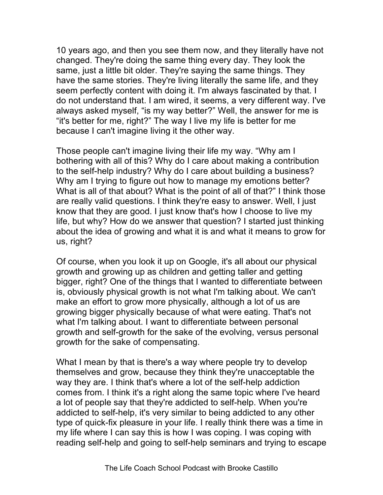10 years ago, and then you see them now, and they literally have not changed. They're doing the same thing every day. They look the same, just a little bit older. They're saying the same things. They have the same stories. They're living literally the same life, and they seem perfectly content with doing it. I'm always fascinated by that. I do not understand that. I am wired, it seems, a very different way. I've always asked myself, "is my way better?" Well, the answer for me is "it's better for me, right?" The way I live my life is better for me because I can't imagine living it the other way.

Those people can't imagine living their life my way. "Why am I bothering with all of this? Why do I care about making a contribution to the self-help industry? Why do I care about building a business? Why am I trying to figure out how to manage my emotions better? What is all of that about? What is the point of all of that?" I think those are really valid questions. I think they're easy to answer. Well, I just know that they are good. I just know that's how I choose to live my life, but why? How do we answer that question? I started just thinking about the idea of growing and what it is and what it means to grow for us, right?

Of course, when you look it up on Google, it's all about our physical growth and growing up as children and getting taller and getting bigger, right? One of the things that I wanted to differentiate between is, obviously physical growth is not what I'm talking about. We can't make an effort to grow more physically, although a lot of us are growing bigger physically because of what were eating. That's not what I'm talking about. I want to differentiate between personal growth and self-growth for the sake of the evolving, versus personal growth for the sake of compensating.

What I mean by that is there's a way where people try to develop themselves and grow, because they think they're unacceptable the way they are. I think that's where a lot of the self-help addiction comes from. I think it's a right along the same topic where I've heard a lot of people say that they're addicted to self-help. When you're addicted to self-help, it's very similar to being addicted to any other type of quick-fix pleasure in your life. I really think there was a time in my life where I can say this is how I was coping. I was coping with reading self-help and going to self-help seminars and trying to escape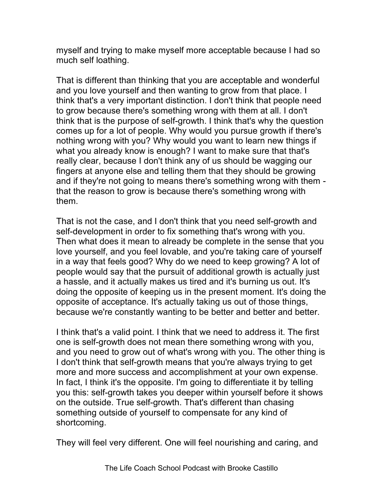myself and trying to make myself more acceptable because I had so much self loathing.

That is different than thinking that you are acceptable and wonderful and you love yourself and then wanting to grow from that place. I think that's a very important distinction. I don't think that people need to grow because there's something wrong with them at all. I don't think that is the purpose of self-growth. I think that's why the question comes up for a lot of people. Why would you pursue growth if there's nothing wrong with you? Why would you want to learn new things if what you already know is enough? I want to make sure that that's really clear, because I don't think any of us should be wagging our fingers at anyone else and telling them that they should be growing and if they're not going to means there's something wrong with them that the reason to grow is because there's something wrong with them.

That is not the case, and I don't think that you need self-growth and self-development in order to fix something that's wrong with you. Then what does it mean to already be complete in the sense that you love yourself, and you feel lovable, and you're taking care of yourself in a way that feels good? Why do we need to keep growing? A lot of people would say that the pursuit of additional growth is actually just a hassle, and it actually makes us tired and it's burning us out. It's doing the opposite of keeping us in the present moment. It's doing the opposite of acceptance. It's actually taking us out of those things, because we're constantly wanting to be better and better and better.

I think that's a valid point. I think that we need to address it. The first one is self-growth does not mean there something wrong with you, and you need to grow out of what's wrong with you. The other thing is I don't think that self-growth means that you're always trying to get more and more success and accomplishment at your own expense. In fact, I think it's the opposite. I'm going to differentiate it by telling you this: self-growth takes you deeper within yourself before it shows on the outside. True self-growth. That's different than chasing something outside of yourself to compensate for any kind of shortcoming.

They will feel very different. One will feel nourishing and caring, and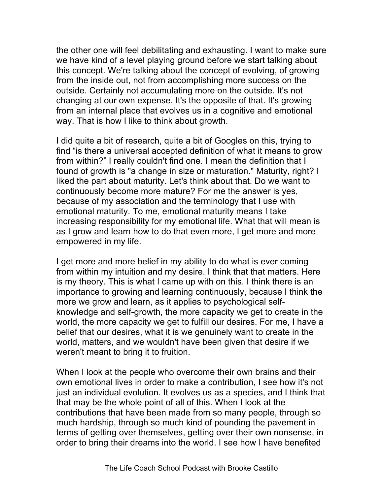the other one will feel debilitating and exhausting. I want to make sure we have kind of a level playing ground before we start talking about this concept. We're talking about the concept of evolving, of growing from the inside out, not from accomplishing more success on the outside. Certainly not accumulating more on the outside. It's not changing at our own expense. It's the opposite of that. It's growing from an internal place that evolves us in a cognitive and emotional way. That is how I like to think about growth.

I did quite a bit of research, quite a bit of Googles on this, trying to find "is there a universal accepted definition of what it means to grow from within?" I really couldn't find one. I mean the definition that I found of growth is "a change in size or maturation." Maturity, right? I liked the part about maturity. Let's think about that. Do we want to continuously become more mature? For me the answer is yes, because of my association and the terminology that I use with emotional maturity. To me, emotional maturity means I take increasing responsibility for my emotional life. What that will mean is as I grow and learn how to do that even more, I get more and more empowered in my life.

I get more and more belief in my ability to do what is ever coming from within my intuition and my desire. I think that that matters. Here is my theory. This is what I came up with on this. I think there is an importance to growing and learning continuously, because I think the more we grow and learn, as it applies to psychological selfknowledge and self-growth, the more capacity we get to create in the world, the more capacity we get to fulfill our desires. For me, I have a belief that our desires, what it is we genuinely want to create in the world, matters, and we wouldn't have been given that desire if we weren't meant to bring it to fruition.

When I look at the people who overcome their own brains and their own emotional lives in order to make a contribution, I see how it's not just an individual evolution. It evolves us as a species, and I think that that may be the whole point of all of this. When I look at the contributions that have been made from so many people, through so much hardship, through so much kind of pounding the pavement in terms of getting over themselves, getting over their own nonsense, in order to bring their dreams into the world. I see how I have benefited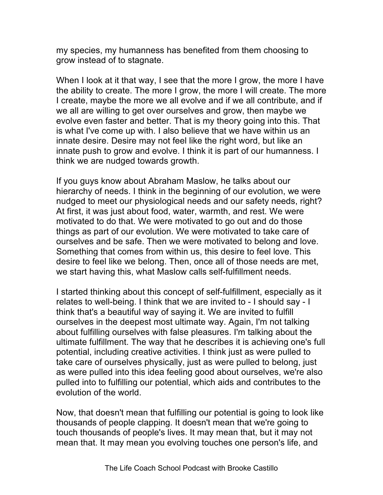my species, my humanness has benefited from them choosing to grow instead of to stagnate.

When I look at it that way, I see that the more I grow, the more I have the ability to create. The more I grow, the more I will create. The more I create, maybe the more we all evolve and if we all contribute, and if we all are willing to get over ourselves and grow, then maybe we evolve even faster and better. That is my theory going into this. That is what I've come up with. I also believe that we have within us an innate desire. Desire may not feel like the right word, but like an innate push to grow and evolve. I think it is part of our humanness. I think we are nudged towards growth.

If you guys know about Abraham Maslow, he talks about our hierarchy of needs. I think in the beginning of our evolution, we were nudged to meet our physiological needs and our safety needs, right? At first, it was just about food, water, warmth, and rest. We were motivated to do that. We were motivated to go out and do those things as part of our evolution. We were motivated to take care of ourselves and be safe. Then we were motivated to belong and love. Something that comes from within us, this desire to feel love. This desire to feel like we belong. Then, once all of those needs are met, we start having this, what Maslow calls self-fulfillment needs.

I started thinking about this concept of self-fulfillment, especially as it relates to well-being. I think that we are invited to - I should say - I think that's a beautiful way of saying it. We are invited to fulfill ourselves in the deepest most ultimate way. Again, I'm not talking about fulfilling ourselves with false pleasures. I'm talking about the ultimate fulfillment. The way that he describes it is achieving one's full potential, including creative activities. I think just as were pulled to take care of ourselves physically, just as were pulled to belong, just as were pulled into this idea feeling good about ourselves, we're also pulled into to fulfilling our potential, which aids and contributes to the evolution of the world.

Now, that doesn't mean that fulfilling our potential is going to look like thousands of people clapping. It doesn't mean that we're going to touch thousands of people's lives. It may mean that, but it may not mean that. It may mean you evolving touches one person's life, and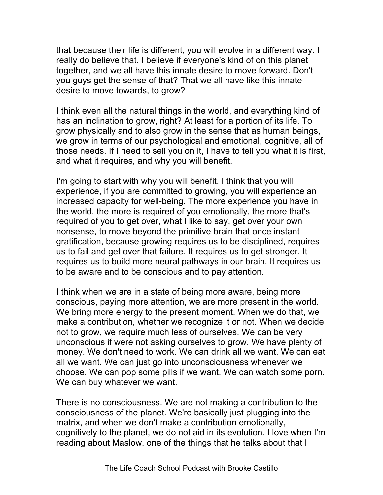that because their life is different, you will evolve in a different way. I really do believe that. I believe if everyone's kind of on this planet together, and we all have this innate desire to move forward. Don't you guys get the sense of that? That we all have like this innate desire to move towards, to grow?

I think even all the natural things in the world, and everything kind of has an inclination to grow, right? At least for a portion of its life. To grow physically and to also grow in the sense that as human beings, we grow in terms of our psychological and emotional, cognitive, all of those needs. If I need to sell you on it, I have to tell you what it is first, and what it requires, and why you will benefit.

I'm going to start with why you will benefit. I think that you will experience, if you are committed to growing, you will experience an increased capacity for well-being. The more experience you have in the world, the more is required of you emotionally, the more that's required of you to get over, what I like to say, get over your own nonsense, to move beyond the primitive brain that once instant gratification, because growing requires us to be disciplined, requires us to fail and get over that failure. It requires us to get stronger. It requires us to build more neural pathways in our brain. It requires us to be aware and to be conscious and to pay attention.

I think when we are in a state of being more aware, being more conscious, paying more attention, we are more present in the world. We bring more energy to the present moment. When we do that, we make a contribution, whether we recognize it or not. When we decide not to grow, we require much less of ourselves. We can be very unconscious if were not asking ourselves to grow. We have plenty of money. We don't need to work. We can drink all we want. We can eat all we want. We can just go into unconsciousness whenever we choose. We can pop some pills if we want. We can watch some porn. We can buy whatever we want.

There is no consciousness. We are not making a contribution to the consciousness of the planet. We're basically just plugging into the matrix, and when we don't make a contribution emotionally, cognitively to the planet, we do not aid in its evolution. I love when I'm reading about Maslow, one of the things that he talks about that I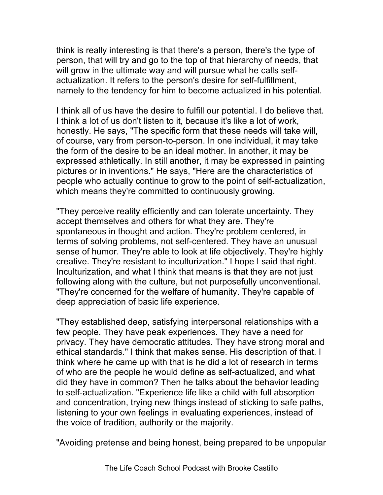think is really interesting is that there's a person, there's the type of person, that will try and go to the top of that hierarchy of needs, that will grow in the ultimate way and will pursue what he calls selfactualization. It refers to the person's desire for self-fulfillment, namely to the tendency for him to become actualized in his potential.

I think all of us have the desire to fulfill our potential. I do believe that. I think a lot of us don't listen to it, because it's like a lot of work, honestly. He says, "The specific form that these needs will take will, of course, vary from person-to-person. In one individual, it may take the form of the desire to be an ideal mother. In another, it may be expressed athletically. In still another, it may be expressed in painting pictures or in inventions." He says, "Here are the characteristics of people who actually continue to grow to the point of self-actualization, which means they're committed to continuously growing.

"They perceive reality efficiently and can tolerate uncertainty. They accept themselves and others for what they are. They're spontaneous in thought and action. They're problem centered, in terms of solving problems, not self-centered. They have an unusual sense of humor. They're able to look at life objectively. They're highly creative. They're resistant to inculturization." I hope I said that right. Inculturization, and what I think that means is that they are not just following along with the culture, but not purposefully unconventional. "They're concerned for the welfare of humanity. They're capable of deep appreciation of basic life experience.

"They established deep, satisfying interpersonal relationships with a few people. They have peak experiences. They have a need for privacy. They have democratic attitudes. They have strong moral and ethical standards." I think that makes sense. His description of that. I think where he came up with that is he did a lot of research in terms of who are the people he would define as self-actualized, and what did they have in common? Then he talks about the behavior leading to self-actualization. "Experience life like a child with full absorption and concentration, trying new things instead of sticking to safe paths, listening to your own feelings in evaluating experiences, instead of the voice of tradition, authority or the majority.

"Avoiding pretense and being honest, being prepared to be unpopular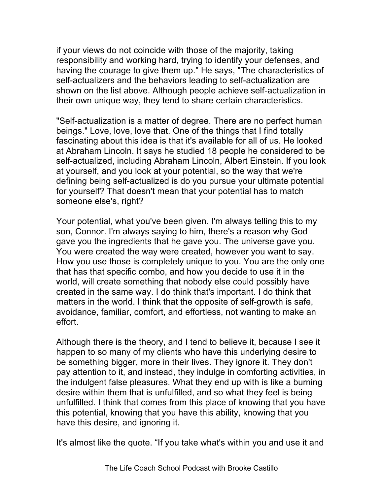if your views do not coincide with those of the majority, taking responsibility and working hard, trying to identify your defenses, and having the courage to give them up." He says, "The characteristics of self-actualizers and the behaviors leading to self-actualization are shown on the list above. Although people achieve self-actualization in their own unique way, they tend to share certain characteristics.

"Self-actualization is a matter of degree. There are no perfect human beings." Love, love, love that. One of the things that I find totally fascinating about this idea is that it's available for all of us. He looked at Abraham Lincoln. It says he studied 18 people he considered to be self-actualized, including Abraham Lincoln, Albert Einstein. If you look at yourself, and you look at your potential, so the way that we're defining being self-actualized is do you pursue your ultimate potential for yourself? That doesn't mean that your potential has to match someone else's, right?

Your potential, what you've been given. I'm always telling this to my son, Connor. I'm always saying to him, there's a reason why God gave you the ingredients that he gave you. The universe gave you. You were created the way were created, however you want to say. How you use those is completely unique to you. You are the only one that has that specific combo, and how you decide to use it in the world, will create something that nobody else could possibly have created in the same way. I do think that's important. I do think that matters in the world. I think that the opposite of self-growth is safe, avoidance, familiar, comfort, and effortless, not wanting to make an effort.

Although there is the theory, and I tend to believe it, because I see it happen to so many of my clients who have this underlying desire to be something bigger, more in their lives. They ignore it. They don't pay attention to it, and instead, they indulge in comforting activities, in the indulgent false pleasures. What they end up with is like a burning desire within them that is unfulfilled, and so what they feel is being unfulfilled. I think that comes from this place of knowing that you have this potential, knowing that you have this ability, knowing that you have this desire, and ignoring it.

It's almost like the quote. "If you take what's within you and use it and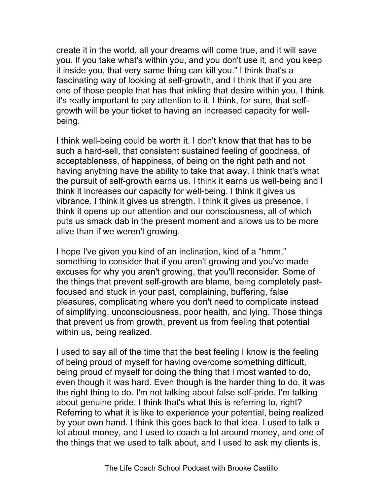create it in the world, all your dreams will come true, and it will save you. If you take what's within you, and you don't use it, and you keep it inside you, that very same thing can kill you." I think that's a fascinating way of looking at self-growth, and I think that if you are one of those people that has that inkling that desire within you, I think it's really important to pay attention to it. I think, for sure, that selfgrowth will be your ticket to having an increased capacity for wellbeing.

I think well-being could be worth it. I don't know that that has to be such a hard-sell, that consistent sustained feeling of goodness, of acceptableness, of happiness, of being on the right path and not having anything have the ability to take that away. I think that's what the pursuit of self-growth earns us. I think it earns us well-being and I think it increases our capacity for well-being. I think it gives us vibrance. I think it gives us strength. I think it gives us presence. I think it opens up our attention and our consciousness, all of which puts us smack dab in the present moment and allows us to be more alive than if we weren't growing.

I hope I've given you kind of an inclination, kind of a "hmm," something to consider that if you aren't growing and you've made excuses for why you aren't growing, that you'll reconsider. Some of the things that prevent self-growth are blame, being completely pastfocused and stuck in your past, complaining, buffering, false pleasures, complicating where you don't need to complicate instead of simplifying, unconsciousness, poor health, and lying. Those things that prevent us from growth, prevent us from feeling that potential within us, being realized.

I used to say all of the time that the best feeling I know is the feeling of being proud of myself for having overcome something difficult, being proud of myself for doing the thing that I most wanted to do, even though it was hard. Even though is the harder thing to do, it was the right thing to do. I'm not talking about false self-pride. I'm talking about genuine pride. I think that's what this is referring to, right? Referring to what it is like to experience your potential, being realized by your own hand. I think this goes back to that idea. I used to talk a lot about money, and I used to coach a lot around money, and one of the things that we used to talk about, and I used to ask my clients is,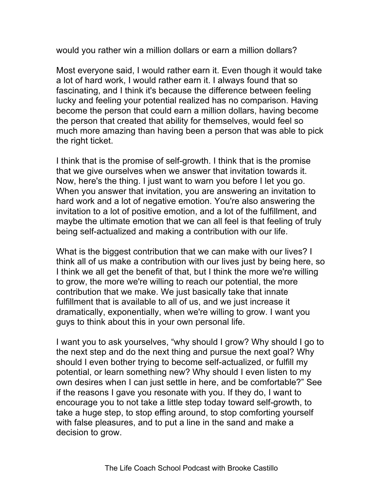would you rather win a million dollars or earn a million dollars?

Most everyone said, I would rather earn it. Even though it would take a lot of hard work, I would rather earn it. I always found that so fascinating, and I think it's because the difference between feeling lucky and feeling your potential realized has no comparison. Having become the person that could earn a million dollars, having become the person that created that ability for themselves, would feel so much more amazing than having been a person that was able to pick the right ticket.

I think that is the promise of self-growth. I think that is the promise that we give ourselves when we answer that invitation towards it. Now, here's the thing. I just want to warn you before I let you go. When you answer that invitation, you are answering an invitation to hard work and a lot of negative emotion. You're also answering the invitation to a lot of positive emotion, and a lot of the fulfillment, and maybe the ultimate emotion that we can all feel is that feeling of truly being self-actualized and making a contribution with our life.

What is the biggest contribution that we can make with our lives? I think all of us make a contribution with our lives just by being here, so I think we all get the benefit of that, but I think the more we're willing to grow, the more we're willing to reach our potential, the more contribution that we make. We just basically take that innate fulfillment that is available to all of us, and we just increase it dramatically, exponentially, when we're willing to grow. I want you guys to think about this in your own personal life.

I want you to ask yourselves, "why should I grow? Why should I go to the next step and do the next thing and pursue the next goal? Why should I even bother trying to become self-actualized, or fulfill my potential, or learn something new? Why should I even listen to my own desires when I can just settle in here, and be comfortable?" See if the reasons I gave you resonate with you. If they do, I want to encourage you to not take a little step today toward self-growth, to take a huge step, to stop effing around, to stop comforting yourself with false pleasures, and to put a line in the sand and make a decision to grow.